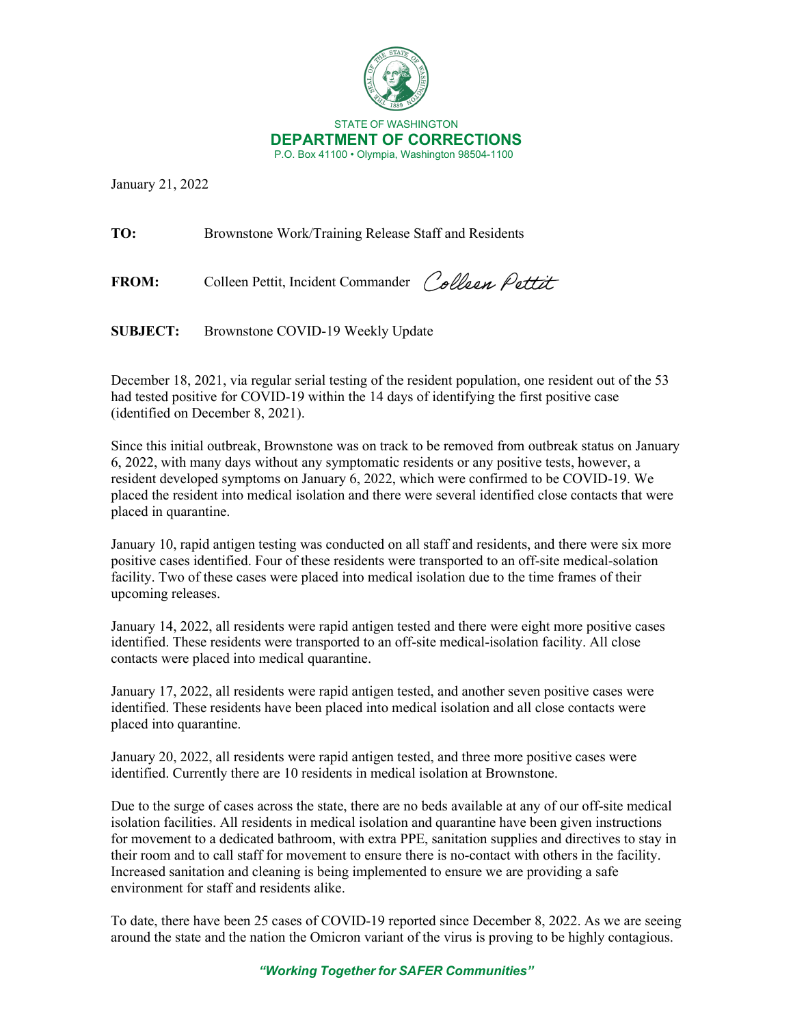

January 21, 2022

**TO:** Brownstone Work/Training Release Staff and Residents

FROM: Colleen Pettit, Incident Commander Colleen Pettit

**SUBJECT:** Brownstone COVID-19 Weekly Update

December 18, 2021, via regular serial testing of the resident population, one resident out of the 53 had tested positive for COVID-19 within the 14 days of identifying the first positive case (identified on December 8, 2021).

Since this initial outbreak, Brownstone was on track to be removed from outbreak status on January 6, 2022, with many days without any symptomatic residents or any positive tests, however, a resident developed symptoms on January 6, 2022, which were confirmed to be COVID-19. We placed the resident into medical isolation and there were several identified close contacts that were placed in quarantine.

January 10, rapid antigen testing was conducted on all staff and residents, and there were six more positive cases identified. Four of these residents were transported to an off-site medical-solation facility. Two of these cases were placed into medical isolation due to the time frames of their upcoming releases.

January 14, 2022, all residents were rapid antigen tested and there were eight more positive cases identified. These residents were transported to an off-site medical-isolation facility. All close contacts were placed into medical quarantine.

January 17, 2022, all residents were rapid antigen tested, and another seven positive cases were identified. These residents have been placed into medical isolation and all close contacts were placed into quarantine.

January 20, 2022, all residents were rapid antigen tested, and three more positive cases were identified. Currently there are 10 residents in medical isolation at Brownstone.

Due to the surge of cases across the state, there are no beds available at any of our off-site medical isolation facilities. All residents in medical isolation and quarantine have been given instructions for movement to a dedicated bathroom, with extra PPE, sanitation supplies and directives to stay in their room and to call staff for movement to ensure there is no-contact with others in the facility. Increased sanitation and cleaning is being implemented to ensure we are providing a safe environment for staff and residents alike.

To date, there have been 25 cases of COVID-19 reported since December 8, 2022. As we are seeing around the state and the nation the Omicron variant of the virus is proving to be highly contagious.

*"Working Together for SAFER Communities"*